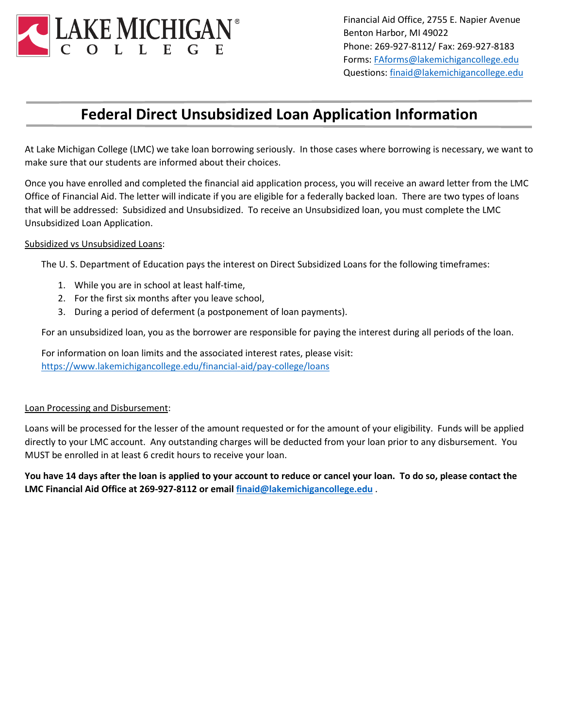

Financial Aid Office, 2755 E. Napier Avenue Benton Harbor, MI 49022 Phone: 269-927-8112/ Fax: 269-927-8183 Forms[: FAforms@lakemichigancollege.edu](mailto:FAforms@lakemichigancollege.edu) Questions: [finaid@lakemichigancollege.edu](mailto:finaid@lakemichigancollege.edu)

## **Federal Direct Unsubsidized Loan Application Information**

At Lake Michigan College (LMC) we take loan borrowing seriously. In those cases where borrowing is necessary, we want to make sure that our students are informed about their choices.

Once you have enrolled and completed the financial aid application process, you will receive an award letter from the LMC Office of Financial Aid. The letter will indicate if you are eligible for a federally backed loan. There are two types of loans that will be addressed: Subsidized and Unsubsidized. To receive an Unsubsidized loan, you must complete the LMC Unsubsidized Loan Application.

## Subsidized vs Unsubsidized Loans:

The U. S. Department of Education pays the interest on Direct Subsidized Loans for the following timeframes:

- 1. While you are in school at least half-time,
- 2. For the first six months after you leave school,
- 3. During a period of deferment (a postponement of loan payments).

For an unsubsidized loan, you as the borrower are responsible for paying the interest during all periods of the loan.

For information on loan limits and the associated interest rates, please visit: <https://www.lakemichigancollege.edu/financial-aid/pay-college/loans>

## Loan Processing and Disbursement:

Loans will be processed for the lesser of the amount requested or for the amount of your eligibility. Funds will be applied directly to your LMC account. Any outstanding charges will be deducted from your loan prior to any disbursement. You MUST be enrolled in at least 6 credit hours to receive your loan.

**You have 14 days after the loan is applied to your account to reduce or cancel your loan. To do so, please contact the LMC Financial Aid Office at 269-927-8112 or email [finaid@lakemichigancollege.edu](mailto:finaid@lakemichigancollege.edu)** .